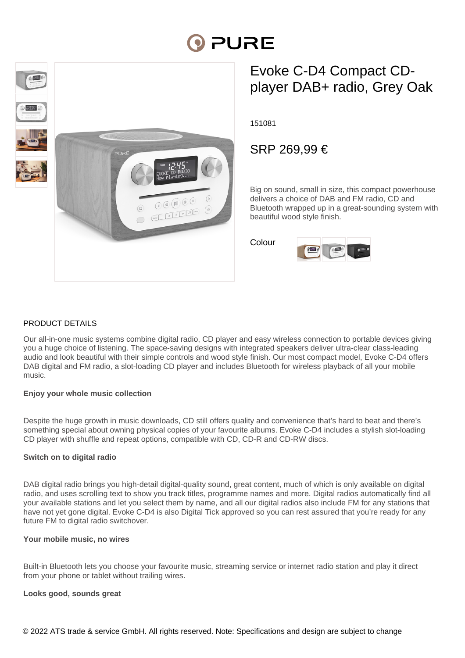# PURE



# Evoke C-D4 Compact CDplayer DAB+ radio, Grey Oak

151081

# SRP 269,99 €

Big on sound, small in size, this compact powerhouse delivers a choice of DAB and FM radio, CD and Bluetooth wrapped up in a great-sounding system with beautiful wood style finish.

Colour



# PRODUCT DETAILS

Our all-in-one music systems combine digital radio, CD player and easy wireless connection to portable devices giving you a huge choice of listening. The space-saving designs with integrated speakers deliver ultra-clear class-leading audio and look beautiful with their simple controls and wood style finish. Our most compact model, Evoke C-D4 offers DAB digital and FM radio, a slot-loading CD player and includes Bluetooth for wireless playback of all your mobile music.

## **Enjoy your whole music collection**

Despite the huge growth in music downloads, CD still offers quality and convenience that's hard to beat and there's something special about owning physical copies of your favourite albums. Evoke C-D4 includes a stylish slot-loading CD player with shuffle and repeat options, compatible with CD, CD-R and CD-RW discs.

## **Switch on to digital radio**

DAB digital radio brings you high-detail digital-quality sound, great content, much of which is only available on digital radio, and uses scrolling text to show you track titles, programme names and more. Digital radios automatically find all your available stations and let you select them by name, and all our digital radios also include FM for any stations that have not yet gone digital. Evoke C-D4 is also Digital Tick approved so you can rest assured that you're ready for any future FM to digital radio switchover.

#### **Your mobile music, no wires**

Built-in Bluetooth lets you choose your favourite music, streaming service or internet radio station and play it direct from your phone or tablet without trailing wires.

## **Looks good, sounds great**